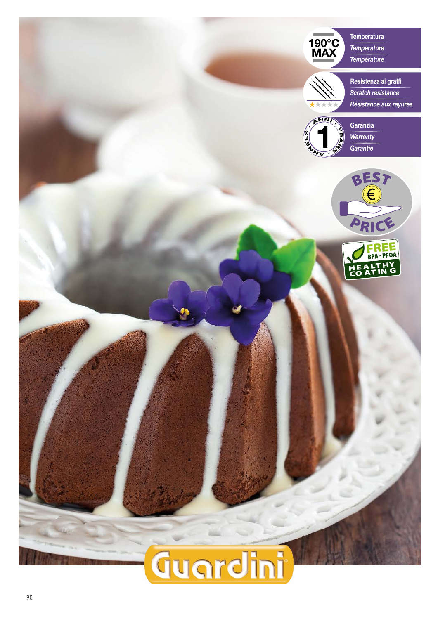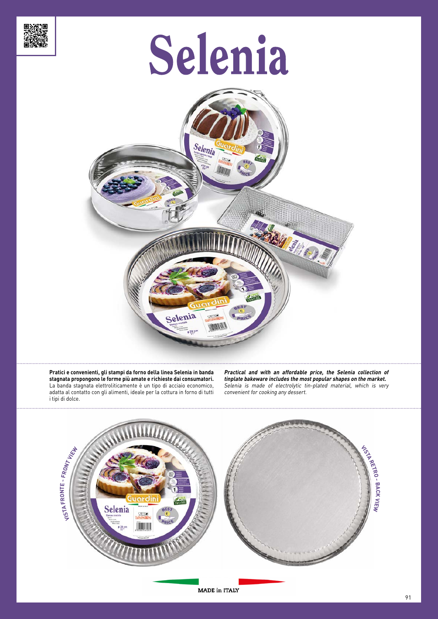

# Selenia



**Pratici e convenienti, gli stampi da forno della linea Selenia in banda stagnata propongono le forme più amate e richieste dai consumatori.** La banda stagnata elettroliticamente è un tipo di acciaio economico, adatta al contatto con gli alimenti, ideale per la cottura in forno di tutti i tipi di dolce.

**Practical and with an affordable price, the Selenia collection of tinplate bakeware includes the most popular shapes on the market.** Selenia is made of electrolytic tin-plated material, which is very convenient for cooking any dessert.



MADE in ITALY